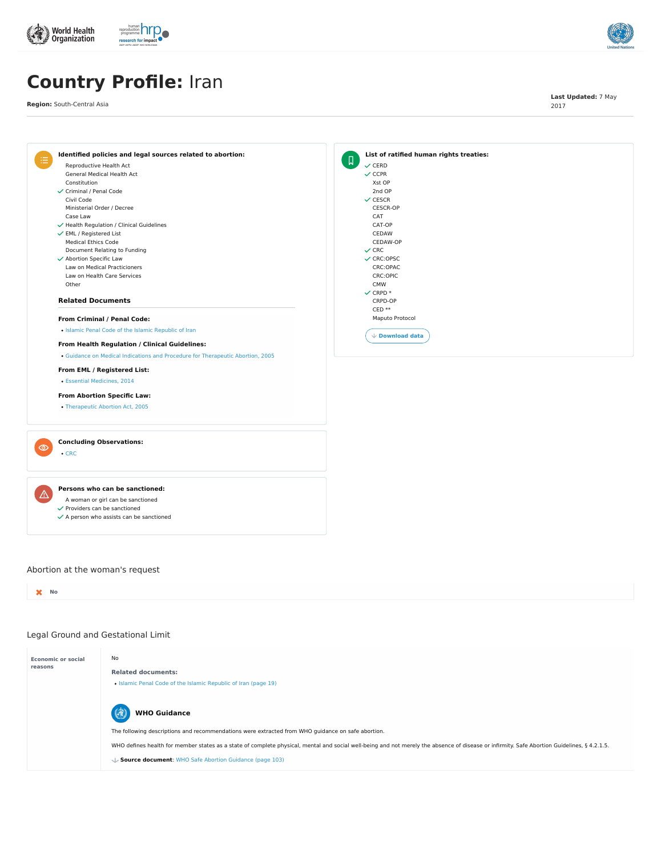- A woman or girl can be sanctioned
- $\checkmark$  Providers can be sanctioned
- $\checkmark$  A person who assists can be sanctioned

# **Persons who can be sanctioned:**



# Legal Ground and Gestational Limit





# **Country Profile:** Iran

**Region:** South-Central Asia

**Last Updated:** 7 May 2017

# **No**

<u> 个</u>

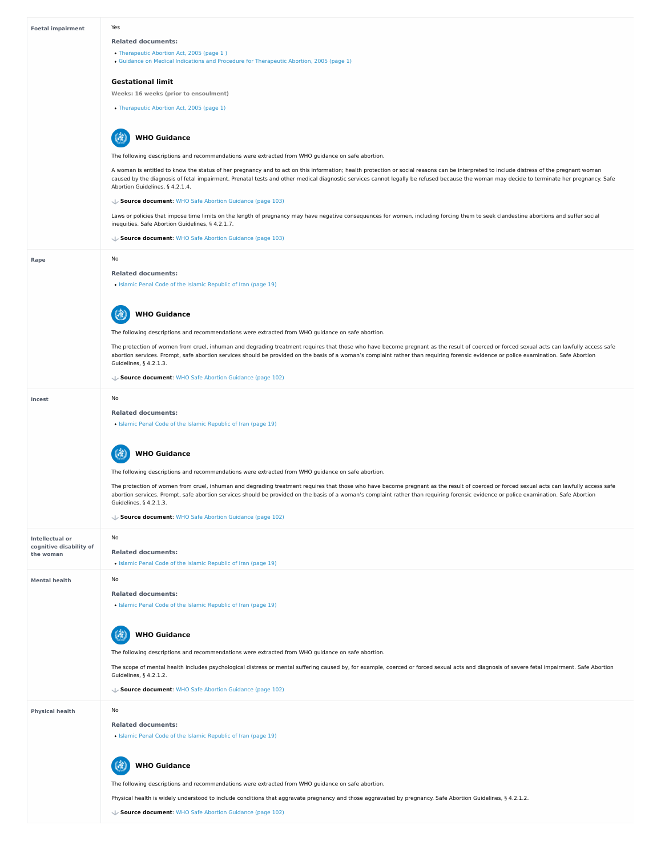**cognitive disability of**

| <b>Foetal impairment</b> | Yes                                                                                                                                                                                                                                                                                                                                                                                                                      |
|--------------------------|--------------------------------------------------------------------------------------------------------------------------------------------------------------------------------------------------------------------------------------------------------------------------------------------------------------------------------------------------------------------------------------------------------------------------|
|                          | <b>Related documents:</b>                                                                                                                                                                                                                                                                                                                                                                                                |
|                          | • Therapeutic Abortion Act, 2005 (page 1)                                                                                                                                                                                                                                                                                                                                                                                |
|                          | • Guidance on Medical Indications and Procedure for Therapeutic Abortion, 2005 (page 1)                                                                                                                                                                                                                                                                                                                                  |
|                          | <b>Gestational limit</b>                                                                                                                                                                                                                                                                                                                                                                                                 |
|                          | <b>Weeks: 16 weeks (prior to ensoulment)</b>                                                                                                                                                                                                                                                                                                                                                                             |
|                          | • Therapeutic Abortion Act, 2005 (page 1)                                                                                                                                                                                                                                                                                                                                                                                |
|                          | <b>WHO Guidance</b>                                                                                                                                                                                                                                                                                                                                                                                                      |
|                          | The following descriptions and recommendations were extracted from WHO guidance on safe abortion.                                                                                                                                                                                                                                                                                                                        |
|                          | A woman is entitled to know the status of her pregnancy and to act on this information; health protection or social reasons can be interpreted to include distress of the pregnant woman<br>caused by the diagnosis of fetal impairment. Prenatal tests and other medical diagnostic services cannot legally be refused because the woman may decide to terminate her pregnancy. Safe<br>Abortion Guidelines, § 4.2.1.4. |
|                          | ↓ Source document: WHO Safe Abortion Guidance (page 103)                                                                                                                                                                                                                                                                                                                                                                 |
|                          | Laws or policies that impose time limits on the length of pregnancy may have negative consequences for women, including forcing them to seek clandestine abortions and suffer social<br>inequities. Safe Abortion Guidelines, § 4.2.1.7.                                                                                                                                                                                 |
|                          | ↓ Source document: WHO Safe Abortion Guidance (page 103)                                                                                                                                                                                                                                                                                                                                                                 |
| Rape                     | No                                                                                                                                                                                                                                                                                                                                                                                                                       |
|                          | <b>Related documents:</b>                                                                                                                                                                                                                                                                                                                                                                                                |
|                          | • Islamic Penal Code of the Islamic Republic of Iran (page 19)                                                                                                                                                                                                                                                                                                                                                           |
|                          |                                                                                                                                                                                                                                                                                                                                                                                                                          |
|                          | <b>WHO Guidance</b>                                                                                                                                                                                                                                                                                                                                                                                                      |
|                          | The following descriptions and recommendations were extracted from WHO guidance on safe abortion.                                                                                                                                                                                                                                                                                                                        |
|                          | The protection of women from cruel, inhuman and degrading treatment requires that those who have become pregnant as the result of coerced or forced sexual acts can lawfully access safe<br>abortion services. Prompt, safe abortion services should be provided on the basis of a woman's complaint rather than requiring forensic evidence or police examination. Safe Abortion                                        |
|                          | Guidelines, § 4.2.1.3.                                                                                                                                                                                                                                                                                                                                                                                                   |
|                          | Source document: WHO Safe Abortion Guidance (page 102)                                                                                                                                                                                                                                                                                                                                                                   |
| <b>Incest</b>            | No                                                                                                                                                                                                                                                                                                                                                                                                                       |
|                          | <b>Related documents:</b>                                                                                                                                                                                                                                                                                                                                                                                                |
|                          | • Islamic Penal Code of the Islamic Republic of Iran (page 19)                                                                                                                                                                                                                                                                                                                                                           |
|                          | <b>WHO Guidance</b>                                                                                                                                                                                                                                                                                                                                                                                                      |
|                          | The following descriptions and recommendations were extracted from WHO guidance on safe abortion.                                                                                                                                                                                                                                                                                                                        |
|                          | The protection of women from cruel, inhuman and degrading treatment requires that those who have become pregnant as the result of coerced or forced sexual acts can lawfully access safe                                                                                                                                                                                                                                 |
|                          | abortion services. Prompt, safe abortion services should be provided on the basis of a woman's complaint rather than requiring forensic evidence or police examination. Safe Abortion<br>Guidelines, § 4.2.1.3.                                                                                                                                                                                                          |
|                          | ↓ Source document: WHO Safe Abortion Guidance (page 102)                                                                                                                                                                                                                                                                                                                                                                 |
| <b>Intellectual or</b>   | No                                                                                                                                                                                                                                                                                                                                                                                                                       |

| the woman              | <b>Related documents:</b><br>• Islamic Penal Code of the Islamic Republic of Iran (page 19)                                                                                                                                                                                                                                                                                           |
|------------------------|---------------------------------------------------------------------------------------------------------------------------------------------------------------------------------------------------------------------------------------------------------------------------------------------------------------------------------------------------------------------------------------|
| <b>Mental health</b>   | No<br><b>Related documents:</b><br>• Islamic Penal Code of the Islamic Republic of Iran (page 19)<br><b>WHO Guidance</b><br>健                                                                                                                                                                                                                                                         |
|                        | The following descriptions and recommendations were extracted from WHO guidance on safe abortion.<br>The scope of mental health includes psychological distress or mental suffering caused by, for example, coerced or forced sexual acts and diagnosis of severe fetal impairment. Safe Abortion<br>Guidelines, § 4.2.1.2.<br>Source document: WHO Safe Abortion Guidance (page 102) |
| <b>Physical health</b> | No<br><b>Related documents:</b><br>• Islamic Penal Code of the Islamic Republic of Iran (page 19)                                                                                                                                                                                                                                                                                     |
|                        | <b>WHO Guidance</b><br>The following descriptions and recommendations were extracted from WHO guidance on safe abortion.<br>Physical health is widely understood to include conditions that aggravate pregnancy and those aggravated by pregnancy. Safe Abortion Guidelines, § 4.2.1.2.<br>Source document: WHO Safe Abortion Guidance (page 102)                                     |
|                        |                                                                                                                                                                                                                                                                                                                                                                                       |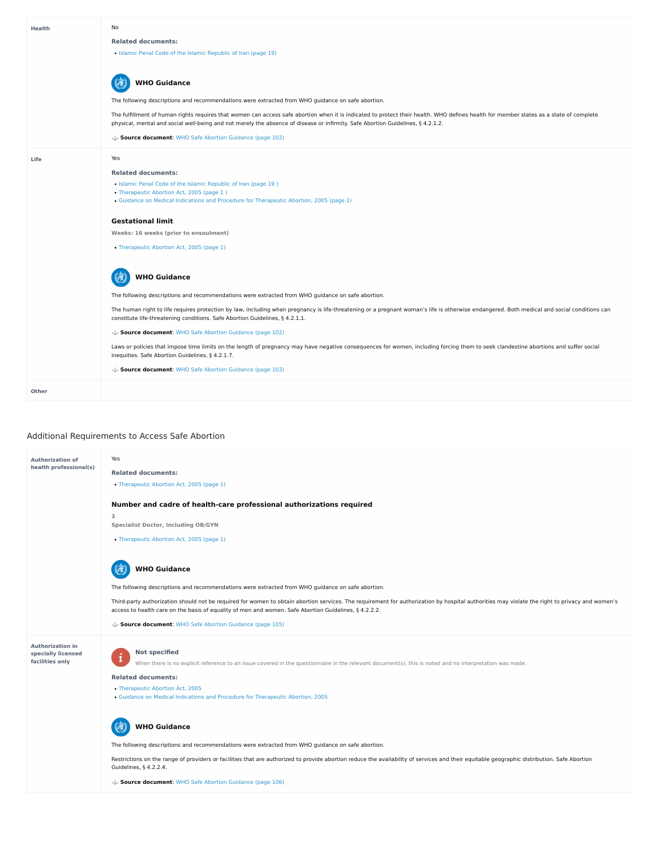# Additional Requirements to Access Safe Abortion

| <b>Health</b> | No                                                                                                                                                                                                                                                                                                                        |
|---------------|---------------------------------------------------------------------------------------------------------------------------------------------------------------------------------------------------------------------------------------------------------------------------------------------------------------------------|
|               | <b>Related documents:</b>                                                                                                                                                                                                                                                                                                 |
|               | • Islamic Penal Code of the Islamic Republic of Iran (page 19)                                                                                                                                                                                                                                                            |
|               | <b>WHO Guidance</b>                                                                                                                                                                                                                                                                                                       |
|               | The following descriptions and recommendations were extracted from WHO guidance on safe abortion.                                                                                                                                                                                                                         |
|               | The fulfillment of human rights requires that women can access safe abortion when it is indicated to protect their health. WHO defines health for member states as a state of complete<br>physical, mental and social well-being and not merely the absence of disease or infirmity. Safe Abortion Guidelines, § 4.2.1.2. |
|               | ↓ Source document: WHO Safe Abortion Guidance (page 102)                                                                                                                                                                                                                                                                  |
| Life          | Yes                                                                                                                                                                                                                                                                                                                       |
|               | <b>Related documents:</b>                                                                                                                                                                                                                                                                                                 |
|               | • Islamic Penal Code of the Islamic Republic of Iran (page 19)                                                                                                                                                                                                                                                            |
|               | • Therapeutic Abortion Act, 2005 (page 1)                                                                                                                                                                                                                                                                                 |
|               | • Guidance on Medical Indications and Procedure for Therapeutic Abortion, 2005 (page 1)                                                                                                                                                                                                                                   |
|               | <b>Gestational limit</b>                                                                                                                                                                                                                                                                                                  |
|               | Weeks: 16 weeks (prior to ensoulment)                                                                                                                                                                                                                                                                                     |
|               | • Therapeutic Abortion Act, 2005 (page 1)                                                                                                                                                                                                                                                                                 |
|               | <b>NHO Guidance</b>                                                                                                                                                                                                                                                                                                       |
|               | The following descriptions and recommendations were extracted from WHO guidance on safe abortion.                                                                                                                                                                                                                         |
|               | The human right to life requires protection by law, including when pregnancy is life-threatening or a pregnant woman's life is otherwise endangered. Both medical and social conditions can<br>constitute life-threatening conditions. Safe Abortion Guidelines, § 4.2.1.1.                                               |
|               | ↓ Source document: WHO Safe Abortion Guidance (page 102)                                                                                                                                                                                                                                                                  |
|               | Laws or policies that impose time limits on the length of pregnancy may have negative consequences for women, including forcing them to seek clandestine abortions and suffer social<br>inequities. Safe Abortion Guidelines, § 4.2.1.7.                                                                                  |
|               | ↓ Source document: WHO Safe Abortion Guidance (page 103)                                                                                                                                                                                                                                                                  |
| <b>Other</b>  |                                                                                                                                                                                                                                                                                                                           |

#### $\mathbb{R}$ **WHO Guidance**

# **Not specified**  $\mathbf{i}$

- [Therapeutic](https://abortion-policies.srhr.org/documents/countries/02-Iran-Therapeutic-Abortion-Act-2005.pdf) Abortion Act, 2005
- Guidance on Medical Indications and Procedure for [Therapeutic](https://abortion-policies.srhr.org/documents/countries/10-Iran-Guidance-on-medical-indications-and-procedure-for-therapeutic-abortion-2005.pdf) Abortion, 2005

Restrictions on the range of providers or facilities that are authorized to provide abortion reduce the availability of services and their equitable geographic distribution. Safe Abortion Guidelines, § 4.2.2.4.

#### (3) **WHO Guidance**



| <b>Authorization of</b><br>health professional(s) | Yes<br><b>Related documents:</b><br>• Therapeutic Abortion Act, 2005 (page 1) |
|---------------------------------------------------|-------------------------------------------------------------------------------|
|                                                   | Number and cadre of health-care professional authorizations required          |
|                                                   | 3<br><b>Specialist Doctor, Including OB/GYN</b>                               |
|                                                   | • Therapeutic Abortion Act, 2005 (page 1)                                     |

The following descriptions and recommendations were extracted from WHO guidance on safe abortion.

Third-party authorization should not be required for women to obtain abortion services. The requirement for authorization by hospital authorities may violate the right to privacy and women's access to health care on the basis of equality of men and women. Safe Abortion Guidelines, § 4.2.2.2.

**Source document**: WHO Safe Abortion [Guidance](https://abortion-policies.srhr.org/documents/reference/WHO-Safe-Abortion-Guidance-2012.pdf#page=105) (page 105)

When there is no explicit reference to an issue covered in the questionnaire in the relevant document(s), this is noted and no interpretation was made.

# **Related documents:**

The following descriptions and recommendations were extracted from WHO guidance on safe abortion.

**Source document**: WHO Safe Abortion [Guidance](https://abortion-policies.srhr.org/documents/reference/WHO-Safe-Abortion-Guidance-2012.pdf#page=106) (page 106)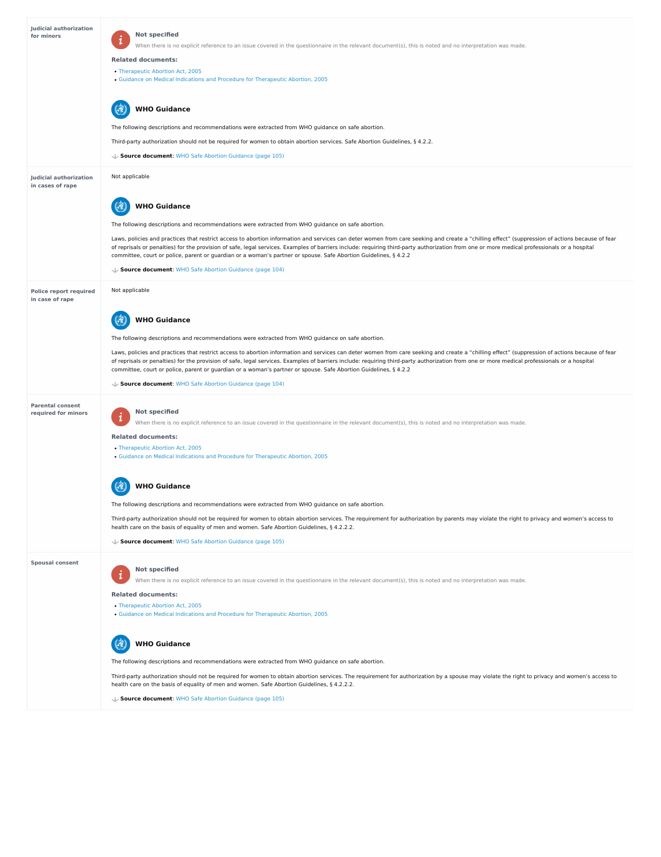#### **Spousal consent**

| <b>Judicial authorization</b><br>for minors       | <b>Not specified</b><br>$\mathbf 1$<br>When there is no explicit reference to an issue covered in the questionnaire in the relevant document(s), this is noted and no interpretation was made.<br><b>Related documents:</b><br>• Therapeutic Abortion Act, 2005<br>• Guidance on Medical Indications and Procedure for Therapeutic Abortion, 2005<br><b>WHO Guidance</b>                                                                                                                                            |
|---------------------------------------------------|---------------------------------------------------------------------------------------------------------------------------------------------------------------------------------------------------------------------------------------------------------------------------------------------------------------------------------------------------------------------------------------------------------------------------------------------------------------------------------------------------------------------|
|                                                   | The following descriptions and recommendations were extracted from WHO guidance on safe abortion.                                                                                                                                                                                                                                                                                                                                                                                                                   |
|                                                   | Third-party authorization should not be required for women to obtain abortion services. Safe Abortion Guidelines, § 4.2.2.                                                                                                                                                                                                                                                                                                                                                                                          |
|                                                   | ↓ Source document: WHO Safe Abortion Guidance (page 105)                                                                                                                                                                                                                                                                                                                                                                                                                                                            |
| <b>Judicial authorization</b><br>in cases of rape | Not applicable                                                                                                                                                                                                                                                                                                                                                                                                                                                                                                      |
|                                                   | <b>WHO Guidance</b>                                                                                                                                                                                                                                                                                                                                                                                                                                                                                                 |
|                                                   | The following descriptions and recommendations were extracted from WHO guidance on safe abortion.                                                                                                                                                                                                                                                                                                                                                                                                                   |
|                                                   | Laws, policies and practices that restrict access to abortion information and services can deter women from care seeking and create a "chilling effect" (suppression of actions because of fear<br>of reprisals or penalties) for the provision of safe, legal services. Examples of barriers include: requiring third-party authorization from one or more medical professionals or a hospital<br>committee, court or police, parent or guardian or a woman's partner or spouse. Safe Abortion Guidelines, § 4.2.2 |
|                                                   | Source document: WHO Safe Abortion Guidance (page 104)                                                                                                                                                                                                                                                                                                                                                                                                                                                              |
| <b>Police report required</b><br>in case of rape  | Not applicable                                                                                                                                                                                                                                                                                                                                                                                                                                                                                                      |
|                                                   | <b>WHO Guidance</b>                                                                                                                                                                                                                                                                                                                                                                                                                                                                                                 |
|                                                   | The following descriptions and recommendations were extracted from WHO guidance on safe abortion.                                                                                                                                                                                                                                                                                                                                                                                                                   |
|                                                   | Laws, policies and practices that restrict access to abortion information and services can deter women from care seeking and create a "chilling effect" (suppression of actions because of fear<br>of reprisals or penalties) for the provision of safe, legal services. Examples of barriers include: requiring third-party authorization from one or more medical professionals or a hospital<br>committee, court or police, parent or guardian or a woman's partner or spouse. Safe Abortion Guidelines, § 4.2.2 |
|                                                   | Source document: WHO Safe Abortion Guidance (page 104)                                                                                                                                                                                                                                                                                                                                                                                                                                                              |
| <b>Parental consent</b><br>required for minors    | <b>Not specified</b><br>$\mathbf{i}$<br>When there is no explicit reference to an issue covered in the questionnaire in the relevant document(s), this is noted and no interpretation was made.                                                                                                                                                                                                                                                                                                                     |
|                                                   | <b>Related documents:</b><br>• Therapeutic Abortion Act, 2005                                                                                                                                                                                                                                                                                                                                                                                                                                                       |
|                                                   | • Guidance on Medical Indications and Procedure for Therapeutic Abortion, 2005                                                                                                                                                                                                                                                                                                                                                                                                                                      |
|                                                   | <b>WHO Guidance</b>                                                                                                                                                                                                                                                                                                                                                                                                                                                                                                 |
|                                                   | The following descriptions and recommendations were extracted from WHO guidance on safe abortion.                                                                                                                                                                                                                                                                                                                                                                                                                   |
|                                                   | Third-party authorization should not be required for women to obtain abortion services. The requirement for authorization by parents may violate the right to privacy and women's access to<br>health care on the basis of equality of men and women. Safe Abortion Guidelines, § 4.2.2.2.                                                                                                                                                                                                                          |

# **Not specified**  $\mathbf{i}$

- [Therapeutic](https://abortion-policies.srhr.org/documents/countries/02-Iran-Therapeutic-Abortion-Act-2005.pdf) Abortion Act, 2005
- Guidance on Medical Indications and Procedure for [Therapeutic](https://abortion-policies.srhr.org/documents/countries/10-Iran-Guidance-on-medical-indications-and-procedure-for-therapeutic-abortion-2005.pdf) Abortion, 2005

**Source document**: WHO Safe Abortion [Guidance](https://abortion-policies.srhr.org/documents/reference/WHO-Safe-Abortion-Guidance-2012.pdf#page=105) (page 105)

When there is no explicit reference to an issue covered in the questionnaire in the relevant document(s), this is noted and no interpretation was made.

# **Related documents:**

The following descriptions and recommendations were extracted from WHO guidance on safe abortion.

Third-party authorization should not be required for women to obtain abortion services. The requirement for authorization by a spouse may violate the right to privacy and women's access to health care on the basis of equality of men and women. Safe Abortion Guidelines, § 4.2.2.2.



**Source document**: WHO Safe Abortion [Guidance](https://abortion-policies.srhr.org/documents/reference/WHO-Safe-Abortion-Guidance-2012.pdf#page=105) (page 105)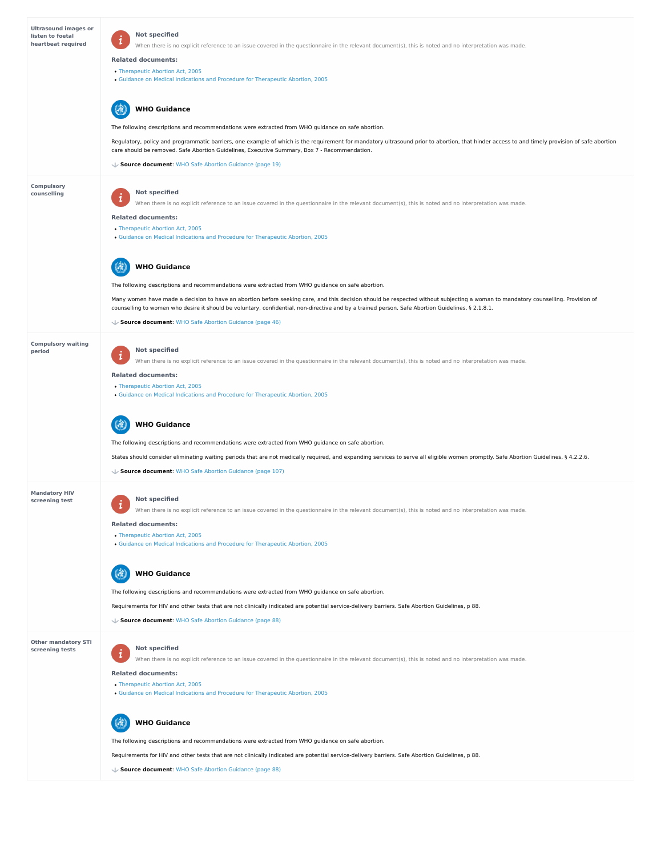**Other mandatory STI screening tests**

| <b>Ultrasound images or</b><br>listen to foetal<br>heartbeat required | <b>Not specified</b><br>When there is no explicit reference to an issue covered in the questionnaire in the relevant document(s), this is noted and no interpretation was made.<br><b>Related documents:</b><br>• Therapeutic Abortion Act, 2005<br>• Guidance on Medical Indications and Procedure for Therapeutic Abortion, 2005<br><b>WHO Guidance</b> |
|-----------------------------------------------------------------------|-----------------------------------------------------------------------------------------------------------------------------------------------------------------------------------------------------------------------------------------------------------------------------------------------------------------------------------------------------------|
|                                                                       |                                                                                                                                                                                                                                                                                                                                                           |
|                                                                       | The following descriptions and recommendations were extracted from WHO guidance on safe abortion.                                                                                                                                                                                                                                                         |
|                                                                       | Regulatory, policy and programmatic barriers, one example of which is the requirement for mandatory ultrasound prior to abortion, that hinder access to and timely provision of safe abortion<br>care should be removed. Safe Abortion Guidelines, Executive Summary, Box 7 - Recommendation.                                                             |
|                                                                       | ↓ Source document: WHO Safe Abortion Guidance (page 19)                                                                                                                                                                                                                                                                                                   |
| <b>Compulsory</b>                                                     |                                                                                                                                                                                                                                                                                                                                                           |
| counselling                                                           | <b>Not specified</b><br>When there is no explicit reference to an issue covered in the questionnaire in the relevant document(s), this is noted and no interpretation was made.                                                                                                                                                                           |
|                                                                       | <b>Related documents:</b>                                                                                                                                                                                                                                                                                                                                 |
|                                                                       | • Therapeutic Abortion Act, 2005                                                                                                                                                                                                                                                                                                                          |
|                                                                       | • Guidance on Medical Indications and Procedure for Therapeutic Abortion, 2005                                                                                                                                                                                                                                                                            |
|                                                                       | <b>WHO Guidance</b>                                                                                                                                                                                                                                                                                                                                       |
|                                                                       | The following descriptions and recommendations were extracted from WHO guidance on safe abortion.                                                                                                                                                                                                                                                         |
|                                                                       | Many women have made a decision to have an abortion before seeking care, and this decision should be respected without subjecting a woman to mandatory counselling. Provision of<br>counselling to women who desire it should be voluntary, confidential, non-directive and by a trained person. Safe Abortion Guidelines, § 2.1.8.1.                     |
|                                                                       | ↓ Source document: WHO Safe Abortion Guidance (page 46)                                                                                                                                                                                                                                                                                                   |
| <b>Compulsory waiting</b><br>period                                   | <b>Not specified</b><br>When there is no explicit reference to an issue covered in the questionnaire in the relevant document(s), this is noted and no interpretation was made.                                                                                                                                                                           |
|                                                                       | <b>Related documents:</b>                                                                                                                                                                                                                                                                                                                                 |
|                                                                       | • Therapeutic Abortion Act, 2005<br>• Guidance on Medical Indications and Procedure for Therapeutic Abortion, 2005                                                                                                                                                                                                                                        |
|                                                                       | <b>WHO Guidance</b>                                                                                                                                                                                                                                                                                                                                       |
|                                                                       | The following descriptions and recommendations were extracted from WHO guidance on safe abortion.                                                                                                                                                                                                                                                         |
|                                                                       | States should consider eliminating waiting periods that are not medically required, and expanding services to serve all eligible women promptly. Safe Abortion Guidelines, § 4.2.2.6.                                                                                                                                                                     |
|                                                                       | ↓ Source document: WHO Safe Abortion Guidance (page 107)                                                                                                                                                                                                                                                                                                  |
| <b>Mandatory HIV</b><br>screening test                                | <b>Not specified</b><br>When there is no explicit reference to an issue covered in the questionnaire in the relevant document(s), this is noted and no interpretation was made.                                                                                                                                                                           |

# **Not specified**  $\boldsymbol{i}$

- [Therapeutic](https://abortion-policies.srhr.org/documents/countries/02-Iran-Therapeutic-Abortion-Act-2005.pdf) Abortion Act, 2005
- Guidance on Medical Indications and Procedure for [Therapeutic](https://abortion-policies.srhr.org/documents/countries/10-Iran-Guidance-on-medical-indications-and-procedure-for-therapeutic-abortion-2005.pdf) Abortion, 2005

#### **WHO Guidance** Q

**Related documents:**

- [Therapeutic](https://abortion-policies.srhr.org/documents/countries/02-Iran-Therapeutic-Abortion-Act-2005.pdf) Abortion Act, 2005
- Guidance on Medical Indications and Procedure for [Therapeutic](https://abortion-policies.srhr.org/documents/countries/10-Iran-Guidance-on-medical-indications-and-procedure-for-therapeutic-abortion-2005.pdf) Abortion, 2005

The following descriptions and recommendations were extracted from WHO guidance on safe abortion.

Requirements for HIV and other tests that are not clinically indicated are potential service-delivery barriers. Safe Abortion Guidelines, p 88.



**Source document**: WHO Safe Abortion [Guidance](https://abortion-policies.srhr.org/documents/reference/WHO-Safe-Abortion-Guidance-2012.pdf#page=88) (page 88)

When there is no explicit reference to an issue covered in the questionnaire in the relevant document(s), this is noted and no interpretation was made.

# **Related documents:**

The following descriptions and recommendations were extracted from WHO guidance on safe abortion.

Requirements for HIV and other tests that are not clinically indicated are potential service-delivery barriers. Safe Abortion Guidelines, p 88.

**Source document**: WHO Safe Abortion [Guidance](https://abortion-policies.srhr.org/documents/reference/WHO-Safe-Abortion-Guidance-2012.pdf#page=88) (page 88)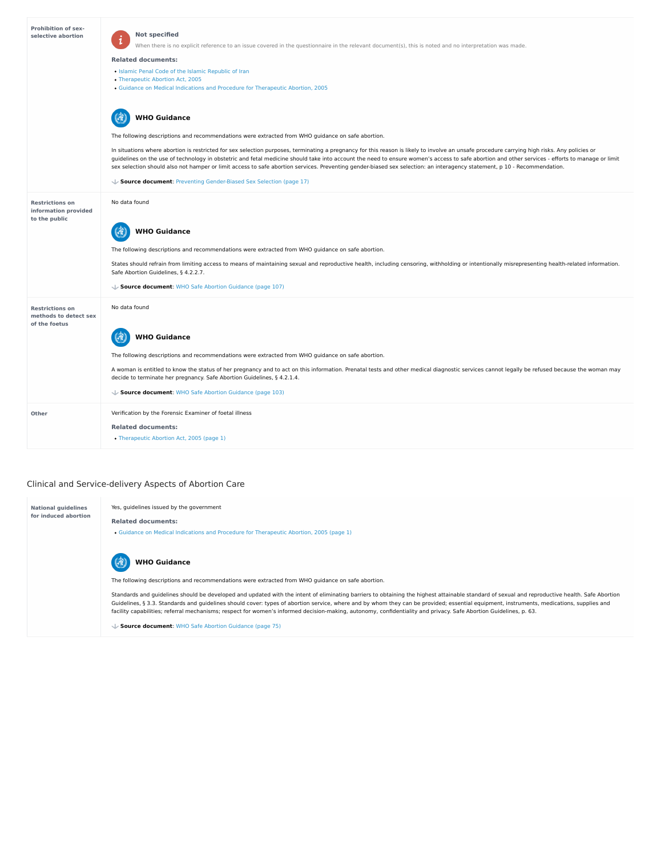# Clinical and Service-delivery Aspects of Abortion Care

| <b>Prohibition of sex-</b><br>selective abortion | <b>Not specified</b>                                                                                                                                    |
|--------------------------------------------------|---------------------------------------------------------------------------------------------------------------------------------------------------------|
|                                                  | When there is no explicit reference to an issue covered in the questionnaire in the relevant document(s), this is noted and no interpretation was made. |
|                                                  | <b>Related documents:</b>                                                                                                                               |

- Islamic Penal Code of the Islamic [Republic](https://abortion-policies.srhr.org/documents/countries/01-Iran-Penal-Code-Fifth-Book-2013.pdf) of Iran
- [Therapeutic](https://abortion-policies.srhr.org/documents/countries/02-Iran-Therapeutic-Abortion-Act-2005.pdf) Abortion Act, 2005
- Guidance on Medical Indications and Procedure for [Therapeutic](https://abortion-policies.srhr.org/documents/countries/10-Iran-Guidance-on-medical-indications-and-procedure-for-therapeutic-abortion-2005.pdf) Abortion, 2005

The following descriptions and recommendations were extracted from WHO guidance on safe abortion.

In situations where abortion is restricted for sex selection purposes, terminating a pregnancy for this reason is likely to involve an unsafe procedure carrying high risks. Any policies or guidelines on the use of technology in obstetric and fetal medicine should take into account the need to ensure women's access to safe abortion and other services - efforts to manage or limit sex selection should also not hamper or limit access to safe abortion services. Preventing gender-biased sex selection: an interagency statement, p 10 - Recommendation.

#### 67 **WHO Guidance**

| $\sqrt{\ }$ Source document: Preventing Gender-Biased Sex Selection (page 17) |                                                                                                                                                                                                                                                                         |
|-------------------------------------------------------------------------------|-------------------------------------------------------------------------------------------------------------------------------------------------------------------------------------------------------------------------------------------------------------------------|
| <b>Restrictions on</b><br>information provided<br>to the public               | No data found                                                                                                                                                                                                                                                           |
|                                                                               | <b>WHO Guidance</b>                                                                                                                                                                                                                                                     |
|                                                                               | The following descriptions and recommendations were extracted from WHO guidance on safe abortion.                                                                                                                                                                       |
|                                                                               | States should refrain from limiting access to means of maintaining sexual and reproductive health, including censoring, withholding or intentionally misrepresenting health-related information.<br>Safe Abortion Guidelines, § 4.2.2.7.                                |
|                                                                               | Source document: WHO Safe Abortion Guidance (page 107)                                                                                                                                                                                                                  |
| <b>Restrictions on</b><br>methods to detect sex<br>of the foetus              | No data found                                                                                                                                                                                                                                                           |
|                                                                               | <b>WHO Guidance</b>                                                                                                                                                                                                                                                     |
|                                                                               | The following descriptions and recommendations were extracted from WHO guidance on safe abortion.                                                                                                                                                                       |
|                                                                               | A woman is entitled to know the status of her pregnancy and to act on this information. Prenatal tests and other medical diagnostic services cannot legally be refused because the woman may<br>decide to terminate her pregnancy. Safe Abortion Guidelines, § 4.2.1.4. |
|                                                                               | Source document: WHO Safe Abortion Guidance (page 103)                                                                                                                                                                                                                  |
| <b>Other</b>                                                                  | Verification by the Forensic Examiner of foetal illness                                                                                                                                                                                                                 |
|                                                                               | <b>Related documents:</b>                                                                                                                                                                                                                                               |
|                                                                               | • Therapeutic Abortion Act, 2005 (page 1)                                                                                                                                                                                                                               |

| <b>National quidelines</b> | Yes, guidelines issued by the government                                                |
|----------------------------|-----------------------------------------------------------------------------------------|
| for induced abortion       | <b>Related documents:</b>                                                               |
|                            | • Guidance on Medical Indications and Procedure for Therapeutic Abortion, 2005 (page 1) |

The following descriptions and recommendations were extracted from WHO guidance on safe abortion.

Standards and guidelines should be developed and updated with the intent of eliminating barriers to obtaining the highest attainable standard of sexual and reproductive health. Safe Abortion Guidelines, § 3.3. Standards and guidelines should cover: types of abortion service, where and by whom they can be provided; essential equipment, instruments, medications, supplies and facility capabilities; referral mechanisms; respect for women's informed decision-making, autonomy, confidentiality and privacy. Safe Abortion Guidelines, p. 63.



**Source document**: WHO Safe Abortion [Guidance](https://abortion-policies.srhr.org/documents/reference/WHO-Safe-Abortion-Guidance-2012.pdf#page=75) (page 75)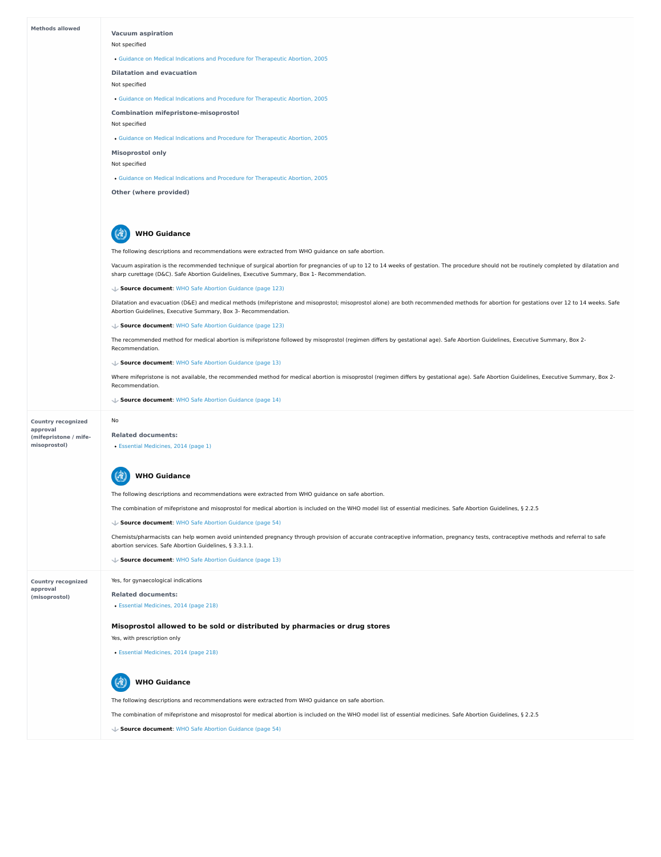

The combination of mifepristone and misoprostol for medical abortion is included on the WHO model list of essential medicines. Safe Abortion Guidelines, § 2.2.5

Chemists/pharmacists can help women avoid unintended pregnancy through provision of accurate contraceptive information, pregnancy tests, contraceptive methods and referral to safe abortion services. Safe Abortion Guidelines, § 3.3.1.1.

**Source document**: WHO Safe Abortion [Guidance](https://abortion-policies.srhr.org/documents/reference/WHO-Safe-Abortion-Guidance-2012.pdf#page=54) (page 54)

Yes, for gynaecological indications

**Related documents:**

Essential [Medicines,](https://abortion-policies.srhr.org/documents/countries/06-Iran-Drug-List-2014.pdf#page=218) 2014 (page 218)

# **Misoprostol allowed to be sold or distributed by pharmacies or drug stores**

Yes, with prescription only

Essential [Medicines,](https://abortion-policies.srhr.org/documents/countries/06-Iran-Drug-List-2014.pdf#page=218) 2014 (page 218)

The following descriptions and recommendations were extracted from WHO guidance on safe abortion.

The combination of mifepristone and misoprostol for medical abortion is included on the WHO model list of essential medicines. Safe Abortion Guidelines, § 2.2.5



**Source document**: WHO Safe Abortion [Guidance](https://abortion-policies.srhr.org/documents/reference/WHO-Safe-Abortion-Guidance-2012.pdf#page=54) (page 54)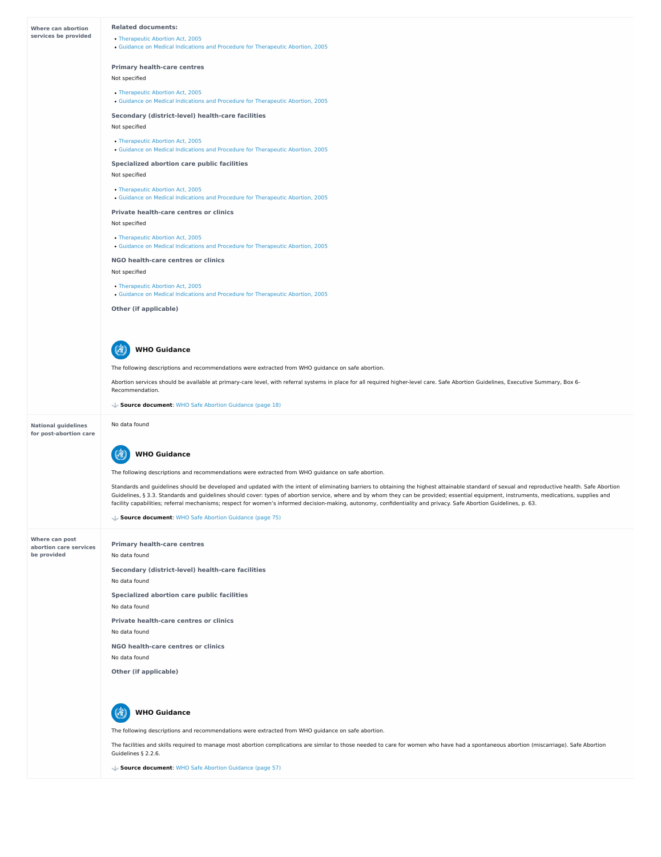**Where can post abortion care services**

**be provided**

| <b>Where can abortion</b>                            | <b>Related documents:</b>                                                                                                                                                                                                                                                                                                                                                                                                                                                                                                                                       |
|------------------------------------------------------|-----------------------------------------------------------------------------------------------------------------------------------------------------------------------------------------------------------------------------------------------------------------------------------------------------------------------------------------------------------------------------------------------------------------------------------------------------------------------------------------------------------------------------------------------------------------|
| services be provided                                 | • Therapeutic Abortion Act, 2005<br>. Guidance on Medical Indications and Procedure for Therapeutic Abortion, 2005                                                                                                                                                                                                                                                                                                                                                                                                                                              |
|                                                      | <b>Primary health-care centres</b>                                                                                                                                                                                                                                                                                                                                                                                                                                                                                                                              |
|                                                      | Not specified                                                                                                                                                                                                                                                                                                                                                                                                                                                                                                                                                   |
|                                                      | • Therapeutic Abortion Act, 2005<br>. Guidance on Medical Indications and Procedure for Therapeutic Abortion, 2005                                                                                                                                                                                                                                                                                                                                                                                                                                              |
|                                                      | <b>Secondary (district-level) health-care facilities</b>                                                                                                                                                                                                                                                                                                                                                                                                                                                                                                        |
|                                                      | Not specified                                                                                                                                                                                                                                                                                                                                                                                                                                                                                                                                                   |
|                                                      | • Therapeutic Abortion Act, 2005<br>• Guidance on Medical Indications and Procedure for Therapeutic Abortion, 2005                                                                                                                                                                                                                                                                                                                                                                                                                                              |
|                                                      | <b>Specialized abortion care public facilities</b>                                                                                                                                                                                                                                                                                                                                                                                                                                                                                                              |
|                                                      | Not specified                                                                                                                                                                                                                                                                                                                                                                                                                                                                                                                                                   |
|                                                      | • Therapeutic Abortion Act, 2005<br>• Guidance on Medical Indications and Procedure for Therapeutic Abortion, 2005                                                                                                                                                                                                                                                                                                                                                                                                                                              |
|                                                      | <b>Private health-care centres or clinics</b>                                                                                                                                                                                                                                                                                                                                                                                                                                                                                                                   |
|                                                      | Not specified                                                                                                                                                                                                                                                                                                                                                                                                                                                                                                                                                   |
|                                                      | • Therapeutic Abortion Act, 2005<br>• Guidance on Medical Indications and Procedure for Therapeutic Abortion, 2005                                                                                                                                                                                                                                                                                                                                                                                                                                              |
|                                                      | NGO health-care centres or clinics                                                                                                                                                                                                                                                                                                                                                                                                                                                                                                                              |
|                                                      | Not specified                                                                                                                                                                                                                                                                                                                                                                                                                                                                                                                                                   |
|                                                      | • Therapeutic Abortion Act, 2005<br>. Guidance on Medical Indications and Procedure for Therapeutic Abortion, 2005                                                                                                                                                                                                                                                                                                                                                                                                                                              |
|                                                      | <b>Other (if applicable)</b>                                                                                                                                                                                                                                                                                                                                                                                                                                                                                                                                    |
|                                                      | <b>WHO Guidance</b>                                                                                                                                                                                                                                                                                                                                                                                                                                                                                                                                             |
|                                                      |                                                                                                                                                                                                                                                                                                                                                                                                                                                                                                                                                                 |
|                                                      | The following descriptions and recommendations were extracted from WHO guidance on safe abortion.                                                                                                                                                                                                                                                                                                                                                                                                                                                               |
|                                                      | Abortion services should be available at primary-care level, with referral systems in place for all required higher-level care. Safe Abortion Guidelines, Executive Summary, Box 6-<br>Recommendation.                                                                                                                                                                                                                                                                                                                                                          |
|                                                      | ↓ Source document: WHO Safe Abortion Guidance (page 18)                                                                                                                                                                                                                                                                                                                                                                                                                                                                                                         |
| <b>National guidelines</b><br>for post-abortion care | No data found                                                                                                                                                                                                                                                                                                                                                                                                                                                                                                                                                   |
|                                                      | <b>WHO Guidance</b>                                                                                                                                                                                                                                                                                                                                                                                                                                                                                                                                             |
|                                                      | The following descriptions and recommendations were extracted from WHO guidance on safe abortion.                                                                                                                                                                                                                                                                                                                                                                                                                                                               |
|                                                      | Standards and guidelines should be developed and updated with the intent of eliminating barriers to obtaining the highest attainable standard of sexual and reproductive health. Safe Abortion<br>Guidelines, § 3.3. Standards and guidelines should cover: types of abortion service, where and by whom they can be provided; essential equipment, instruments, medications, supplies and<br>facility capabilities; referral mechanisms; respect for women's informed decision-making, autonomy, confidentiality and privacy. Safe Abortion Guidelines, p. 63. |
|                                                      | ↓ Source document: WHO Safe Abortion Guidance (page 75)                                                                                                                                                                                                                                                                                                                                                                                                                                                                                                         |

**Specialized abortion care public facilities**

**Secondary (district-level) health-care facilities** No data found

**Private health-care centres or clinics**

**NGO health-care centres or clinics**

**Other (if applicable)**



No data found

No data found

No data found

No data found

The following descriptions and recommendations were extracted from WHO guidance on safe abortion.

The facilities and skills required to manage most abortion complications are similar to those needed to care for women who have had a spontaneous abortion (miscarriage). Safe Abortion Guidelines § 2.2.6.

# **WHO Guidance**

**Source document**: WHO Safe Abortion [Guidance](https://abortion-policies.srhr.org/documents/reference/WHO-Safe-Abortion-Guidance-2012.pdf#page=57) (page 57)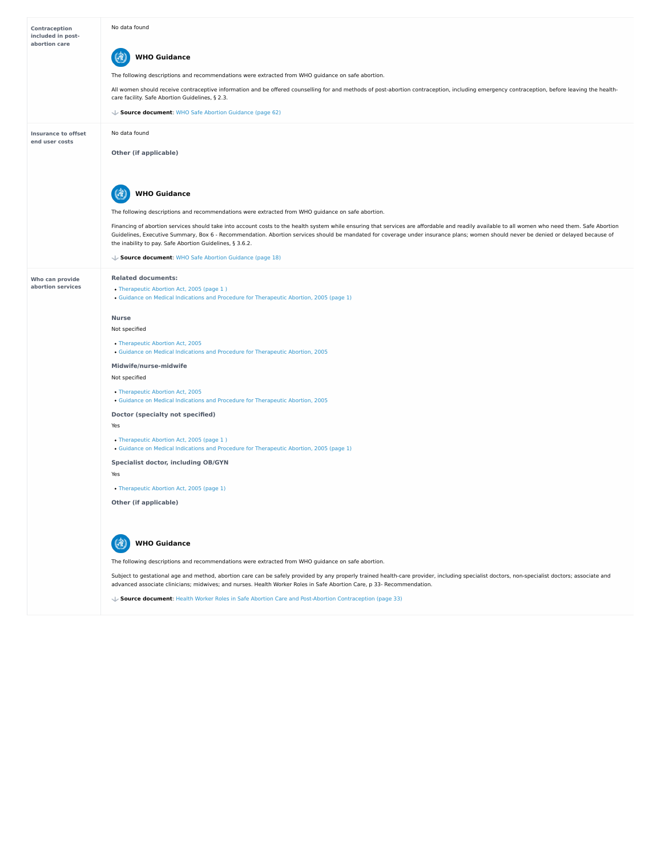| <b>Contraception</b><br>included in post-<br>abortion care | No data found<br><b>WHO Guidance</b><br>The following descriptions and recommendations were extracted from WHO guidance on safe abortion.<br>All women should receive contraceptive information and be offered counselling for and methods of post-abortion contraception, including emergency contraception, before leaving the health-                                                                                                                                                                                                                                                                                                                                                                                                                                                                             |
|------------------------------------------------------------|----------------------------------------------------------------------------------------------------------------------------------------------------------------------------------------------------------------------------------------------------------------------------------------------------------------------------------------------------------------------------------------------------------------------------------------------------------------------------------------------------------------------------------------------------------------------------------------------------------------------------------------------------------------------------------------------------------------------------------------------------------------------------------------------------------------------|
|                                                            | care facility. Safe Abortion Guidelines, § 2.3.<br>↓ Source document: WHO Safe Abortion Guidance (page 62)                                                                                                                                                                                                                                                                                                                                                                                                                                                                                                                                                                                                                                                                                                           |
| <b>Insurance to offset</b><br>end user costs               | No data found<br><b>Other (if applicable)</b>                                                                                                                                                                                                                                                                                                                                                                                                                                                                                                                                                                                                                                                                                                                                                                        |
|                                                            | <b>WHO Guidance</b><br>The following descriptions and recommendations were extracted from WHO guidance on safe abortion.<br>Financing of abortion services should take into account costs to the health system while ensuring that services are affordable and readily available to all women who need them. Safe Abortion<br>Guidelines, Executive Summary, Box 6 - Recommendation. Abortion services should be mandated for coverage under insurance plans; women should never be denied or delayed because of<br>the inability to pay. Safe Abortion Guidelines, § 3.6.2.<br>↓ Source document: WHO Safe Abortion Guidance (page 18)                                                                                                                                                                              |
| <b>Who can provide</b><br>abortion services                | <b>Related documents:</b><br>• Therapeutic Abortion Act, 2005 (page 1)<br>• Guidance on Medical Indications and Procedure for Therapeutic Abortion, 2005 (page 1)<br><b>Nurse</b><br>Not specified<br>• Therapeutic Abortion Act, 2005<br>• Guidance on Medical Indications and Procedure for Therapeutic Abortion, 2005<br>Midwife/nurse-midwife<br>Not specified<br>• Therapeutic Abortion Act, 2005<br>• Guidance on Medical Indications and Procedure for Therapeutic Abortion, 2005<br><b>Doctor (specialty not specified)</b><br>Yes<br>• Therapeutic Abortion Act, 2005 (page 1)<br>• Guidance on Medical Indications and Procedure for Therapeutic Abortion, 2005 (page 1)<br><b>Specialist doctor, including OB/GYN</b><br>Yes<br>• Therapeutic Abortion Act, 2005 (page 1)<br><b>Other (if applicable)</b> |



Subject to gestational age and method, abortion care can be safely provided by any properly trained health-care provider, including specialist doctors, non-specialist doctors; associate and advanced associate clinicians; midwives; and nurses. Health Worker Roles in Safe Abortion Care, p 33- Recommendation.

The following descriptions and recommendations were extracted from WHO guidance on safe abortion.

**WHO Guidance**

**Source document**: Health Worker Roles in Safe Abortion Care and Post-Abortion [Contraception](https://abortion-policies.srhr.org/documents/reference/Health-Worker-Roles-in-Safe-Abortion-Care-2015.pdf#page=33) (page 33)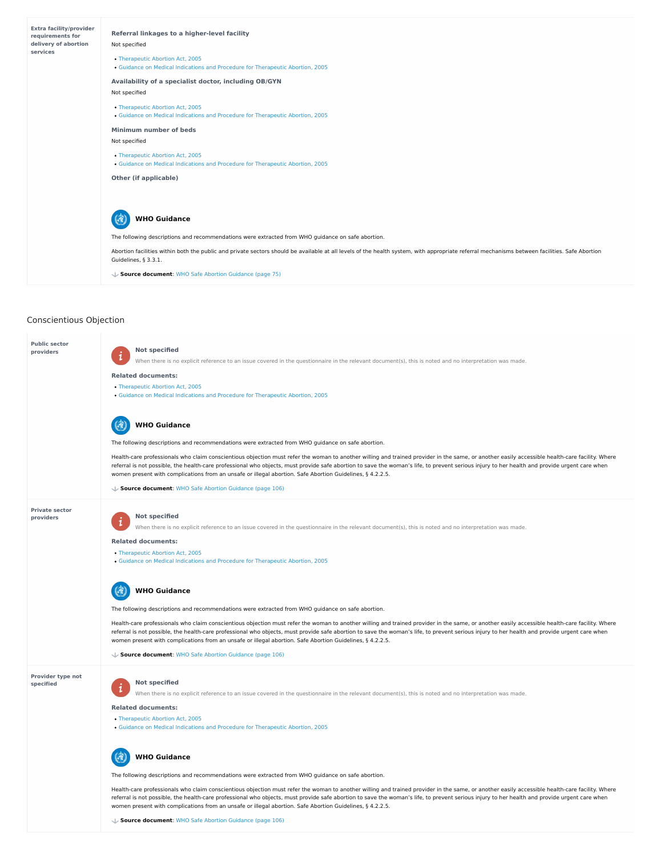# Conscientious Objection



- [Therapeutic](https://abortion-policies.srhr.org/documents/countries/02-Iran-Therapeutic-Abortion-Act-2005.pdf) Abortion Act, 2005
- Guidance on Medical Indications and Procedure for [Therapeutic](https://abortion-policies.srhr.org/documents/countries/10-Iran-Guidance-on-medical-indications-and-procedure-for-therapeutic-abortion-2005.pdf) Abortion, 2005

Health-care professionals who claim conscientious objection must refer the woman to another willing and trained provider in the same, or another easily accessible health-care facility. Where referral is not possible, the health-care professional who objects, must provide safe abortion to save the woman's life, to prevent serious injury to her health and provide urgent care when women present with complications from an unsafe or illegal abortion. Safe Abortion Guidelines, § 4.2.2.5.

**Public sector providers**

**Private sector providers**

# **Provider type not specified**

# **Not specified**

When there is no explicit reference to an issue covered in the questionnaire in the relevant document(s), this is noted and no interpretation was made.

Health-care professionals who claim conscientious objection must refer the woman to another willing and trained provider in the same, or another easily accessible health-care facility. Where referral is not possible, the health-care professional who objects, must provide safe abortion to save the woman's life, to prevent serious injury to her health and provide urgent care when women present with complications from an unsafe or illegal abortion. Safe Abortion Guidelines, § 4.2.2.5.

# **Related documents:**

The following descriptions and recommendations were extracted from WHO guidance on safe abortion.

# **WHO Guidance** 博

#### **Not specified**  $\mathbf{1}$

- [Therapeutic](https://abortion-policies.srhr.org/documents/countries/02-Iran-Therapeutic-Abortion-Act-2005.pdf) Abortion Act, 2005
- Guidance on Medical Indications and Procedure for [Therapeutic](https://abortion-policies.srhr.org/documents/countries/10-Iran-Guidance-on-medical-indications-and-procedure-for-therapeutic-abortion-2005.pdf) Abortion, 2005

Health-care professionals who claim conscientious objection must refer the woman to another willing and trained provider in the same, or another easily accessible health-care facility. Where referral is not possible, the health-care professional who objects, must provide safe abortion to save the woman's life, to prevent serious injury to her health and provide urgent care when women present with complications from an unsafe or illegal abortion. Safe Abortion Guidelines, § 4.2.2.5.

# **WHO Guidance**

**Source document**: WHO Safe Abortion [Guidance](https://abortion-policies.srhr.org/documents/reference/WHO-Safe-Abortion-Guidance-2012.pdf#page=106) (page 106)



When there is no explicit reference to an issue covered in the questionnaire in the relevant document(s), this is noted and no interpretation was made.

**Related documents:**

[Therapeutic](https://abortion-policies.srhr.org/documents/countries/02-Iran-Therapeutic-Abortion-Act-2005.pdf) Abortion Act, 2005

Guidance on Medical Indications and Procedure for [Therapeutic](https://abortion-policies.srhr.org/documents/countries/10-Iran-Guidance-on-medical-indications-and-procedure-for-therapeutic-abortion-2005.pdf) Abortion, 2005

The following descriptions and recommendations were extracted from WHO guidance on safe abortion.

**Source document**: WHO Safe Abortion [Guidance](https://abortion-policies.srhr.org/documents/reference/WHO-Safe-Abortion-Guidance-2012.pdf#page=106) (page 106)

When there is no explicit reference to an issue covered in the questionnaire in the relevant document(s), this is noted and no interpretation was made.

# **Related documents:**

# The following descriptions and recommendations were extracted from WHO guidance on safe abortion.



# **Source document**: WHO Safe Abortion [Guidance](https://abortion-policies.srhr.org/documents/reference/WHO-Safe-Abortion-Guidance-2012.pdf#page=106) (page 106)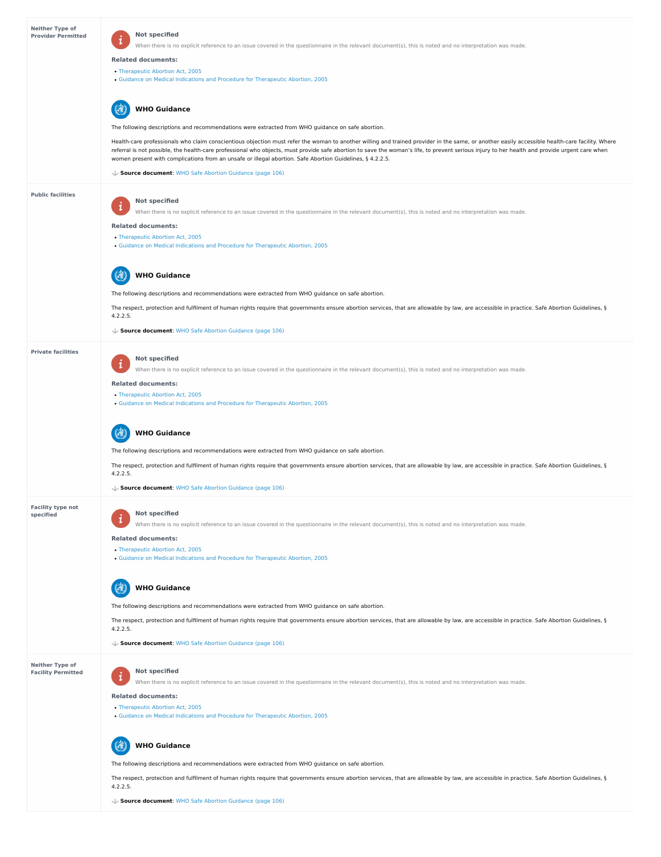# **Neither Type of Facility Permitted**

| <b>Neither Type of</b><br><b>Provider Permitted</b> | <b>Not specified</b><br>$\mathbf{i}$<br>When there is no explicit reference to an issue covered in the questionnaire in the relevant document(s), this is noted and no interpretation was made.                                                                                                                                                                                                                                                                                                              |
|-----------------------------------------------------|--------------------------------------------------------------------------------------------------------------------------------------------------------------------------------------------------------------------------------------------------------------------------------------------------------------------------------------------------------------------------------------------------------------------------------------------------------------------------------------------------------------|
|                                                     | <b>Related documents:</b>                                                                                                                                                                                                                                                                                                                                                                                                                                                                                    |
|                                                     | • Therapeutic Abortion Act, 2005<br>• Guidance on Medical Indications and Procedure for Therapeutic Abortion, 2005                                                                                                                                                                                                                                                                                                                                                                                           |
|                                                     | <b>WHO Guidance</b>                                                                                                                                                                                                                                                                                                                                                                                                                                                                                          |
|                                                     | The following descriptions and recommendations were extracted from WHO guidance on safe abortion.                                                                                                                                                                                                                                                                                                                                                                                                            |
|                                                     | Health-care professionals who claim conscientious objection must refer the woman to another willing and trained provider in the same, or another easily accessible health-care facility. Where<br>referral is not possible, the health-care professional who objects, must provide safe abortion to save the woman's life, to prevent serious injury to her health and provide urgent care when<br>women present with complications from an unsafe or illegal abortion. Safe Abortion Guidelines, § 4.2.2.5. |
|                                                     | ↓ Source document: WHO Safe Abortion Guidance (page 106)                                                                                                                                                                                                                                                                                                                                                                                                                                                     |
| <b>Public facilities</b>                            | <b>Not specified</b><br>$\mathbf{i}$<br>When there is no explicit reference to an issue covered in the questionnaire in the relevant document(s), this is noted and no interpretation was made.                                                                                                                                                                                                                                                                                                              |
|                                                     | <b>Related documents:</b>                                                                                                                                                                                                                                                                                                                                                                                                                                                                                    |
|                                                     | • Therapeutic Abortion Act, 2005<br>• Guidance on Medical Indications and Procedure for Therapeutic Abortion, 2005                                                                                                                                                                                                                                                                                                                                                                                           |
|                                                     | <b>WHO Guidance</b>                                                                                                                                                                                                                                                                                                                                                                                                                                                                                          |
|                                                     | The following descriptions and recommendations were extracted from WHO guidance on safe abortion.                                                                                                                                                                                                                                                                                                                                                                                                            |
|                                                     | The respect, protection and fulfilment of human rights require that governments ensure abortion services, that are allowable by law, are accessible in practice. Safe Abortion Guidelines, §<br>4.2.2.5.                                                                                                                                                                                                                                                                                                     |
|                                                     | ↓ Source document: WHO Safe Abortion Guidance (page 106)                                                                                                                                                                                                                                                                                                                                                                                                                                                     |
| <b>Private facilities</b>                           |                                                                                                                                                                                                                                                                                                                                                                                                                                                                                                              |
|                                                     | <b>Not specified</b><br>When there is no explicit reference to an issue covered in the questionnaire in the relevant document(s), this is noted and no interpretation was made.                                                                                                                                                                                                                                                                                                                              |
|                                                     | <b>Related documents:</b>                                                                                                                                                                                                                                                                                                                                                                                                                                                                                    |
|                                                     | • Therapeutic Abortion Act, 2005<br>. Guidance on Medical Indications and Procedure for Therapeutic Abortion, 2005                                                                                                                                                                                                                                                                                                                                                                                           |
|                                                     | <b>WHO Guidance</b>                                                                                                                                                                                                                                                                                                                                                                                                                                                                                          |
|                                                     | The following descriptions and recommendations were extracted from WHO guidance on safe abortion.                                                                                                                                                                                                                                                                                                                                                                                                            |
|                                                     | The respect, protection and fulfilment of human rights require that governments ensure abortion services, that are allowable by law, are accessible in practice. Safe Abortion Guidelines, §<br>4.2.2.5.                                                                                                                                                                                                                                                                                                     |
|                                                     | ↓ Source document: WHO Safe Abortion Guidance (page 106)                                                                                                                                                                                                                                                                                                                                                                                                                                                     |
| <b>Facility type not</b><br>specified               | <b>Not specified</b>                                                                                                                                                                                                                                                                                                                                                                                                                                                                                         |

 $\mathcal{L}$ When there is no explicit reference to an issue covered in the questionnaire in the relevant document(s), this is noted and no interpretation was made.

The respect, protection and fulfilment of human rights require that governments ensure abortion services, that are allowable by law, are accessible in practice. Safe Abortion Guidelines, § 4.2.2.5.

#### 6 **WHO Guidance**

### **Not specified**  $\mathbf{i}$

- [Therapeutic](https://abortion-policies.srhr.org/documents/countries/02-Iran-Therapeutic-Abortion-Act-2005.pdf) Abortion Act, 2005
- Guidance on Medical Indications and Procedure for [Therapeutic](https://abortion-policies.srhr.org/documents/countries/10-Iran-Guidance-on-medical-indications-and-procedure-for-therapeutic-abortion-2005.pdf) Abortion, 2005

The respect, protection and fulfilment of human rights require that governments ensure abortion services, that are allowable by law, are accessible in practice. Safe Abortion Guidelines, § 4.2.2.5.

#### 63 **WHO Guidance**

# **Related documents:**

- [Therapeutic](https://abortion-policies.srhr.org/documents/countries/02-Iran-Therapeutic-Abortion-Act-2005.pdf) Abortion Act, 2005
- 
- Guidance on Medical Indications and Procedure for [Therapeutic](https://abortion-policies.srhr.org/documents/countries/10-Iran-Guidance-on-medical-indications-and-procedure-for-therapeutic-abortion-2005.pdf) Abortion, 2005

The following descriptions and recommendations were extracted from WHO guidance on safe abortion.

**Source document**: WHO Safe Abortion [Guidance](https://abortion-policies.srhr.org/documents/reference/WHO-Safe-Abortion-Guidance-2012.pdf#page=106) (page 106)

When there is no explicit reference to an issue covered in the questionnaire in the relevant document(s), this is noted and no interpretation was made.

# **Related documents:**

The following descriptions and recommendations were extracted from WHO guidance on safe abortion.

**Source document**: WHO Safe Abortion [Guidance](https://abortion-policies.srhr.org/documents/reference/WHO-Safe-Abortion-Guidance-2012.pdf#page=106) (page 106)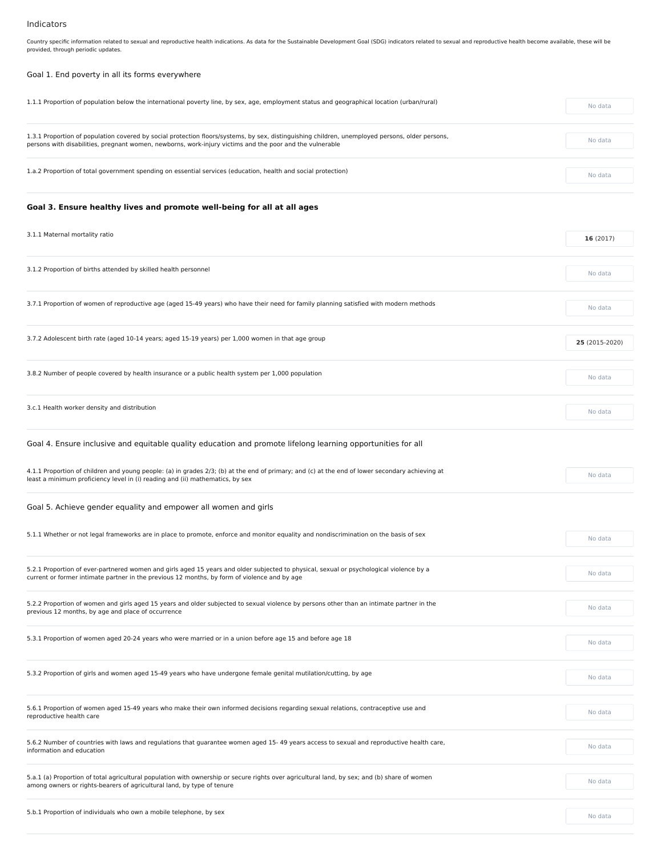# Indicators

Country specific information related to sexual and reproductive health indications. As data for the Sustainable Development Goal (SDG) indicators related to sexual and reproductive health become available, these will be provided, through periodic updates.

# Goal 1. End poverty in all its forms everywhere

| 1.1.1 Proportion of population below the international poverty line, by sex, age, employment status and geographical location (urban/rural)     | No data        |
|-------------------------------------------------------------------------------------------------------------------------------------------------|----------------|
| 1.3.1 Proportion of population covered by social protection floors/systems, by sex, distinguishing children, unemployed persons, older persons, |                |
| persons with disabilities, pregnant women, newborns, work-injury victims and the poor and the vulnerable                                        | No data        |
| 1.a.2 Proportion of total government spending on essential services (education, health and social protection)                                   | No data        |
| Goal 3. Ensure healthy lives and promote well-being for all at all ages                                                                         |                |
| 3.1.1 Maternal mortality ratio                                                                                                                  | 16(2017)       |
| 3.1.2 Proportion of births attended by skilled health personnel                                                                                 | No data        |
| 3.7.1 Proportion of women of reproductive age (aged 15-49 years) who have their need for family planning satisfied with modern methods          | No data        |
| 3.7.2 Adolescent birth rate (aged 10-14 years; aged 15-19 years) per 1,000 women in that age group                                              | 25 (2015-2020) |
|                                                                                                                                                 |                |
| 3.8.2 Number of people covered by health insurance or a public health system per 1,000 population                                               | No data        |
| 3.c.1 Health worker density and distribution                                                                                                    | No data        |
| Goal 4. Ensure inclusive and equitable quality education and promote lifelong learning opportunities for all                                    |                |

| 4.1.1 Proportion of children and young people: (a) in grades 2/3; (b) at the end of primary; and (c) at the end of lower secondary achieving at | No data |
|-------------------------------------------------------------------------------------------------------------------------------------------------|---------|
| least a minimum proficiency level in (i) reading and (ii) mathematics, by sex                                                                   |         |

Goal 5. Achieve gender equality and empower all women and girls

| 5.2.1 Proportion of ever-partnered women and girls aged 15 years and older subjected to physical, sexual or psychological violence by a<br>current or former intimate partner in the previous 12 months, by form of violence and by age | No data |
|-----------------------------------------------------------------------------------------------------------------------------------------------------------------------------------------------------------------------------------------|---------|
| 5.2.2 Proportion of women and girls aged 15 years and older subjected to sexual violence by persons other than an intimate partner in the<br>previous 12 months, by age and place of occurrence                                         | No data |
| 5.3.1 Proportion of women aged 20-24 years who were married or in a union before age 15 and before age 18                                                                                                                               | No data |
| 5.3.2 Proportion of girls and women aged 15-49 years who have undergone female genital mutilation/cutting, by age                                                                                                                       | No data |
| 5.6.1 Proportion of women aged 15-49 years who make their own informed decisions regarding sexual relations, contraceptive use and<br>reproductive health care                                                                          | No data |
| 5.6.2 Number of countries with laws and regulations that guarantee women aged 15-49 years access to sexual and reproductive health care,<br>information and education                                                                   | No data |
| 5.a.1 (a) Proportion of total agricultural population with ownership or secure rights over agricultural land, by sex; and (b) share of women<br>among owners or rights-bearers of agricultural land, by type of tenure                  | No data |
| 5.b.1 Proportion of individuals who own a mobile telephone, by sex                                                                                                                                                                      | No data |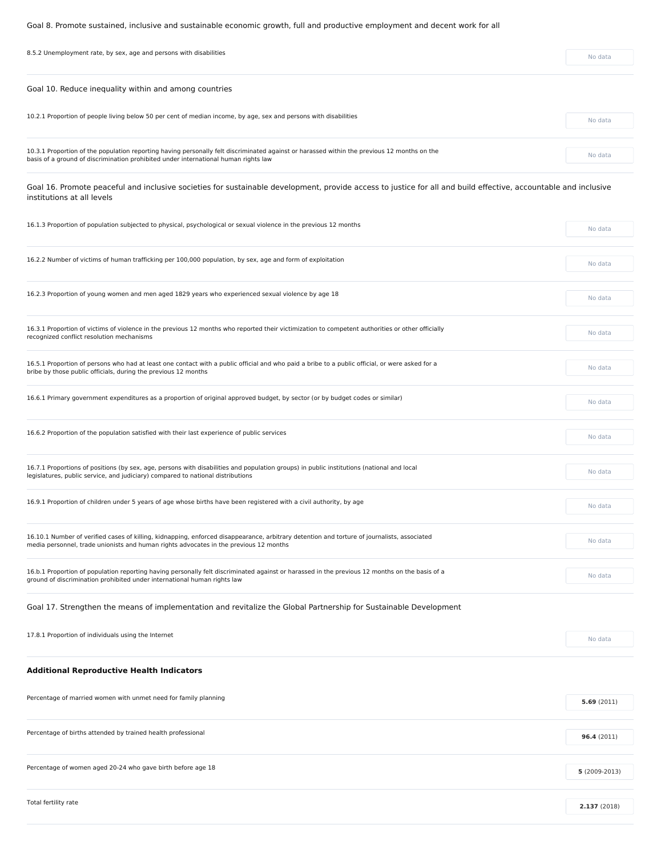Goal 8. Promote sustained, inclusive and sustainable economic growth, full and productive employment and decent work for all

| 8.5.2 Unemployment rate, by sex, age and persons with disabilities                                                                                                                                                                 | No data |
|------------------------------------------------------------------------------------------------------------------------------------------------------------------------------------------------------------------------------------|---------|
| Goal 10. Reduce inequality within and among countries                                                                                                                                                                              |         |
| 10.2.1 Proportion of people living below 50 per cent of median income, by age, sex and persons with disabilities                                                                                                                   | No data |
| 10.3.1 Proportion of the population reporting having personally felt discriminated against or harassed within the previous 12 months on the<br>basis of a ground of discrimination prohibited under international human rights law | No data |
| Goal 16. Promote peaceful and inclusive societies for sustainable development, provide access to justice for all and build effective, accountable and inclusive<br>institutions at all levels                                      |         |
| 16.1.3 Proportion of population subjected to physical, psychological or sexual violence in the previous 12 months                                                                                                                  | No data |
| 16.2.2 Number of victims of human trafficking per 100,000 population, by sex, age and form of exploitation                                                                                                                         | No data |
| 16.2.3 Proportion of young women and men aged 1829 years who experienced sexual violence by age 18                                                                                                                                 | No data |
| 16.3.1 Proportion of victims of violence in the previous 12 months who reported their victimization to competent authorities or other officially<br>recognized conflict resolution mechanisms                                      | No data |
| 16.5.1 Proportion of persons who had at least one contact with a public official and who paid a bribe to a public official, or were asked for a<br>bribe by those public officials, during the previous 12 months                  | No data |
| 16.6.1 Primary government expenditures as a proportion of original approved budget, by sector (or by budget codes or similar)                                                                                                      | No data |
| 16.6.2 Proportion of the population satisfied with their last experience of public services                                                                                                                                        | No data |
| 16.7.1 Proportions of positions (by sex, age, persons with disabilities and population groups) in public institutions (national and local<br>legislatures, public service, and judiciary) compared to national distributions       | No data |
| 16.9.1 Proportion of children under 5 years of age whose births have been registered with a civil authority, by age                                                                                                                | No data |
| 16.10.1 Number of verified cases of killing, kidnapping, enforced disappearance, arbitrary detention and torture of journalists, associated                                                                                        | No data |

media personnel, trade unionists and human rights advocates in the previous 12 months

| 16.b.1 Proportion of population reporting having personally felt discriminated against or harassed in the previous 12 months on the basis of a<br>ground of discrimination prohibited under international human rights law | No data        |
|----------------------------------------------------------------------------------------------------------------------------------------------------------------------------------------------------------------------------|----------------|
| Goal 17. Strengthen the means of implementation and revitalize the Global Partnership for Sustainable Development                                                                                                          |                |
| 17.8.1 Proportion of individuals using the Internet                                                                                                                                                                        | No data        |
| <b>Additional Reproductive Health Indicators</b>                                                                                                                                                                           |                |
| Percentage of married women with unmet need for family planning                                                                                                                                                            | 5.69(2011)     |
| Percentage of births attended by trained health professional                                                                                                                                                               | 96.4(2011)     |
| Percentage of women aged 20-24 who gave birth before age 18                                                                                                                                                                | $5(2009-2013)$ |
| Total fertility rate                                                                                                                                                                                                       | 2.137 (2018)   |